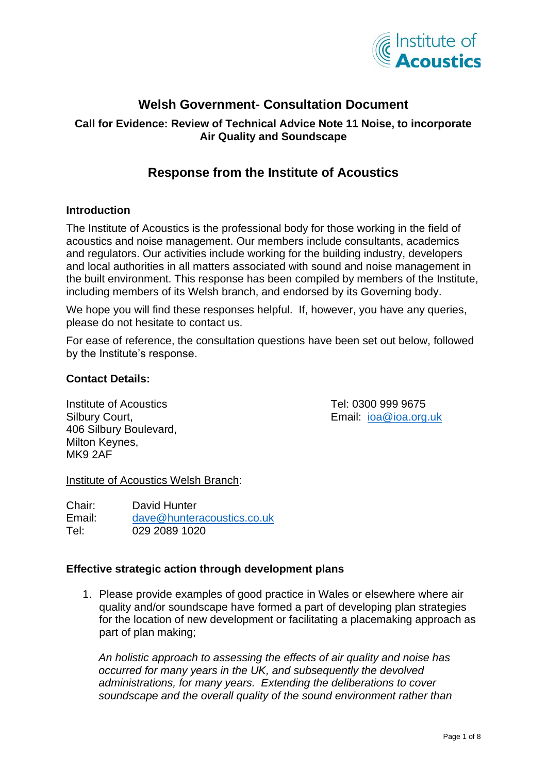

# **Welsh Government- Consultation Document**

### **Call for Evidence: Review of Technical Advice Note 11 Noise, to incorporate Air Quality and Soundscape**

## **Response from the Institute of Acoustics**

#### **Introduction**

The Institute of Acoustics is the professional body for those working in the field of acoustics and noise management. Our members include consultants, academics and regulators. Our activities include working for the building industry, developers and local authorities in all matters associated with sound and noise management in the built environment. This response has been compiled by members of the Institute, including members of its Welsh branch, and endorsed by its Governing body.

We hope you will find these responses helpful. If, however, you have any queries, please do not hesitate to contact us.

For ease of reference, the consultation questions have been set out below, followed by the Institute's response.

#### **Contact Details:**

Institute of Acoustics Tel: 0300 999 9675 Silbury Court, **Email:** [ioa@ioa.org.uk](mailto:ioa@ioa.org.uk) 406 Silbury Boulevard, Milton Keynes, MK9 2AF

Institute of Acoustics Welsh Branch:

Chair: David Hunter Email: [dave@hunteracoustics.co.uk](mailto:dave@hunteracoustics.co.uk) Tel: 029 2089 1020

#### **Effective strategic action through development plans**

1. Please provide examples of good practice in Wales or elsewhere where air quality and/or soundscape have formed a part of developing plan strategies for the location of new development or facilitating a placemaking approach as part of plan making;

*An holistic approach to assessing the effects of air quality and noise has occurred for many years in the UK, and subsequently the devolved administrations, for many years. Extending the deliberations to cover soundscape and the overall quality of the sound environment rather than*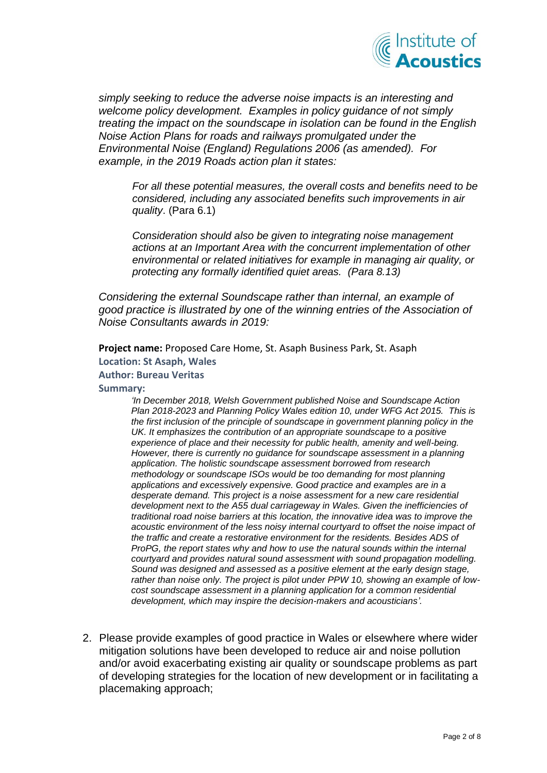

*simply seeking to reduce the adverse noise impacts is an interesting and welcome policy development. Examples in policy guidance of not simply treating the impact on the soundscape in isolation can be found in the English Noise Action Plans for roads and railways promulgated under the Environmental Noise (England) Regulations 2006 (as amended). For example, in the 2019 Roads action plan it states:*

*For all these potential measures, the overall costs and benefits need to be considered, including any associated benefits such improvements in air quality*. (Para 6.1)

*Consideration should also be given to integrating noise management actions at an Important Area with the concurrent implementation of other environmental or related initiatives for example in managing air quality, or protecting any formally identified quiet areas. (Para 8.13)*

*Considering the external Soundscape rather than internal, an example of good practice is illustrated by one of the winning entries of the Association of Noise Consultants awards in 2019:*

**Project name:** Proposed Care Home, St. Asaph Business Park, St. Asaph **Location: St Asaph, Wales**

- **Author: Bureau Veritas**
- **Summary:**

*'In December 2018, Welsh Government published Noise and Soundscape Action Plan 2018-2023 and Planning Policy Wales edition 10, under WFG Act 2015. This is the first inclusion of the principle of soundscape in government planning policy in the UK. It emphasizes the contribution of an appropriate soundscape to a positive experience of place and their necessity for public health, amenity and well-being. However, there is currently no guidance for soundscape assessment in a planning application. The holistic soundscape assessment borrowed from research methodology or soundscape ISOs would be too demanding for most planning applications and excessively expensive. Good practice and examples are in a desperate demand. This project is a noise assessment for a new care residential development next to the A55 dual carriageway in Wales. Given the inefficiencies of traditional road noise barriers at this location, the innovative idea was to improve the acoustic environment of the less noisy internal courtyard to offset the noise impact of the traffic and create a restorative environment for the residents. Besides ADS of ProPG, the report states why and how to use the natural sounds within the internal courtyard and provides natural sound assessment with sound propagation modelling. Sound was designed and assessed as a positive element at the early design stage, rather than noise only. The project is pilot under PPW 10, showing an example of lowcost soundscape assessment in a planning application for a common residential development, which may inspire the decision-makers and acousticians'.*

2. Please provide examples of good practice in Wales or elsewhere where wider mitigation solutions have been developed to reduce air and noise pollution and/or avoid exacerbating existing air quality or soundscape problems as part of developing strategies for the location of new development or in facilitating a placemaking approach;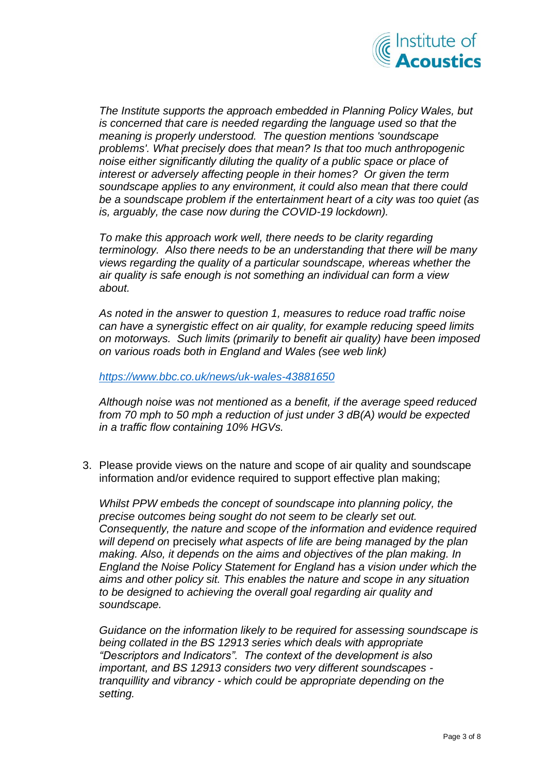

*The Institute supports the approach embedded in Planning Policy Wales, but is concerned that care is needed regarding the language used so that the meaning is properly understood. The question mentions 'soundscape problems'. What precisely does that mean? Is that too much anthropogenic noise either significantly diluting the quality of a public space or place of interest or adversely affecting people in their homes? Or given the term soundscape applies to any environment, it could also mean that there could be a soundscape problem if the entertainment heart of a city was too quiet (as is, arguably, the case now during the COVID-19 lockdown).*

*To make this approach work well, there needs to be clarity regarding terminology. Also there needs to be an understanding that there will be many views regarding the quality of a particular soundscape, whereas whether the air quality is safe enough is not something an individual can form a view about.*

*As noted in the answer to question 1, measures to reduce road traffic noise can have a synergistic effect on air quality, for example reducing speed limits on motorways. Such limits (primarily to benefit air quality) have been imposed on various roads both in England and Wales (see web link)* 

*<https://www.bbc.co.uk/news/uk-wales-43881650>*

*Although noise was not mentioned as a benefit, if the average speed reduced from 70 mph to 50 mph a reduction of just under 3 dB(A) would be expected in a traffic flow containing 10% HGVs.*

3. Please provide views on the nature and scope of air quality and soundscape information and/or evidence required to support effective plan making;

*Whilst PPW embeds the concept of soundscape into planning policy, the precise outcomes being sought do not seem to be clearly set out. Consequently, the nature and scope of the information and evidence required will depend on* precisely *what aspects of life are being managed by the plan making. Also, it depends on the aims and objectives of the plan making. In England the Noise Policy Statement for England has a vision under which the aims and other policy sit. This enables the nature and scope in any situation to be designed to achieving the overall goal regarding air quality and soundscape.*

*Guidance on the information likely to be required for assessing soundscape is being collated in the BS 12913 series which deals with appropriate "Descriptors and Indicators". The context of the development is also important, and BS 12913 considers two very different soundscapes tranquillity and vibrancy - which could be appropriate depending on the setting.*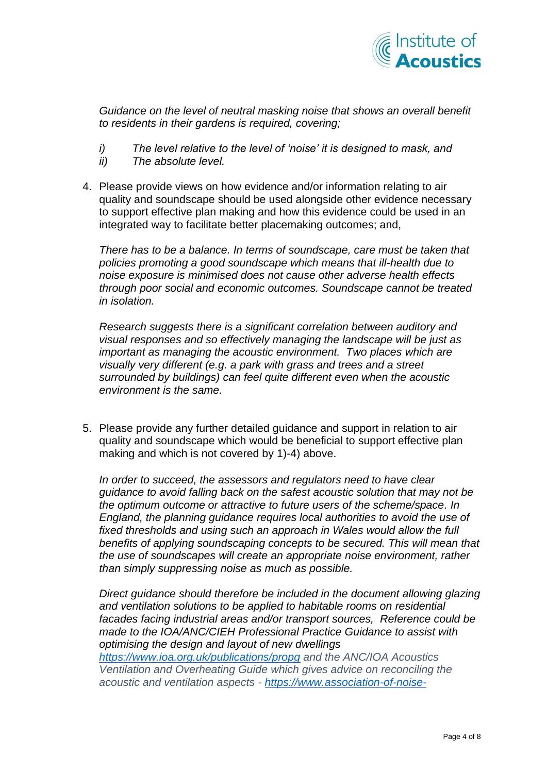

*Guidance on the level of neutral masking noise that shows an overall benefit to residents in their gardens is required, covering;*

- *i) The level relative to the level of 'noise' it is designed to mask, and*
- *ii) The absolute level.*
- 4. Please provide views on how evidence and/or information relating to air quality and soundscape should be used alongside other evidence necessary to support effective plan making and how this evidence could be used in an integrated way to facilitate better placemaking outcomes; and,

*There has to be a balance. In terms of soundscape, care must be taken that policies promoting a good soundscape which means that ill-health due to noise exposure is minimised does not cause other adverse health effects through poor social and economic outcomes. Soundscape cannot be treated in isolation.*

*Research suggests there is a significant correlation between auditory and visual responses and so effectively managing the landscape will be just as important as managing the acoustic environment. Two places which are visually very different (e.g. a park with grass and trees and a street surrounded by buildings) can feel quite different even when the acoustic environment is the same.*

5. Please provide any further detailed guidance and support in relation to air quality and soundscape which would be beneficial to support effective plan making and which is not covered by 1)-4) above.

*In order to succeed, the assessors and regulators need to have clear guidance to avoid falling back on the safest acoustic solution that may not be the optimum outcome or attractive to future users of the scheme/space. In England, the planning guidance requires local authorities to avoid the use of fixed thresholds and using such an approach in Wales would allow the full benefits of applying soundscaping concepts to be secured. This will mean that the use of soundscapes will create an appropriate noise environment, rather than simply suppressing noise as much as possible.*

*Direct guidance should therefore be included in the document allowing glazing and ventilation solutions to be applied to habitable rooms on residential facades facing industrial areas and/or transport sources, Reference could be made to the IOA/ANC/CIEH Professional Practice Guidance to assist with optimising the design and layout of new dwellings <https://www.ioa.org.uk/publications/propg> and the ANC/IOA Acoustics Ventilation and Overheating Guide which gives advice on reconciling the acoustic and ventilation aspects - [https://www.association-of-noise-](https://www.association-of-noise-consultants.co.uk/wp-content/uploads/2019/12/ANC-AVO-Residential-Design-Guide-January-2020-v-1.1.pdf)*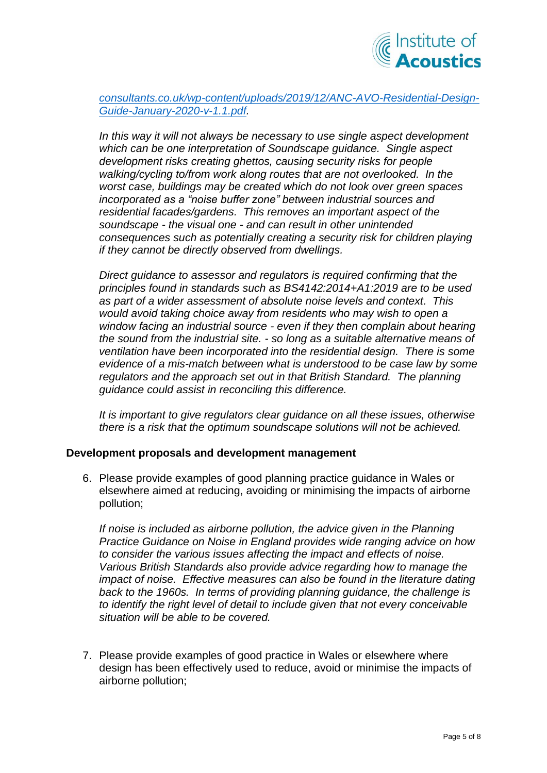

*[consultants.co.uk/wp-content/uploads/2019/12/ANC-AVO-Residential-Design-](https://www.association-of-noise-consultants.co.uk/wp-content/uploads/2019/12/ANC-AVO-Residential-Design-Guide-January-2020-v-1.1.pdf)[Guide-January-2020-v-1.1.pdf.](https://www.association-of-noise-consultants.co.uk/wp-content/uploads/2019/12/ANC-AVO-Residential-Design-Guide-January-2020-v-1.1.pdf)* 

*In this way it will not always be necessary to use single aspect development which can be one interpretation of Soundscape guidance. Single aspect development risks creating ghettos, causing security risks for people walking/cycling to/from work along routes that are not overlooked. In the worst case, buildings may be created which do not look over green spaces incorporated as a "noise buffer zone" between industrial sources and residential facades/gardens. This removes an important aspect of the soundscape - the visual one - and can result in other unintended consequences such as potentially creating a security risk for children playing if they cannot be directly observed from dwellings.* 

*Direct guidance to assessor and regulators is required confirming that the principles found in standards such as BS4142:2014+A1:2019 are to be used as part of a wider assessment of absolute noise levels and context. This would avoid taking choice away from residents who may wish to open a window facing an industrial source - even if they then complain about hearing the sound from the industrial site. - so long as a suitable alternative means of ventilation have been incorporated into the residential design. There is some evidence of a mis-match between what is understood to be case law by some regulators and the approach set out in that British Standard. The planning guidance could assist in reconciling this difference.* 

*It is important to give regulators clear guidance on all these issues, otherwise there is a risk that the optimum soundscape solutions will not be achieved.* 

#### **Development proposals and development management**

6. Please provide examples of good planning practice guidance in Wales or elsewhere aimed at reducing, avoiding or minimising the impacts of airborne pollution;

*If noise is included as airborne pollution, the advice given in the Planning Practice Guidance on Noise in England provides wide ranging advice on how to consider the various issues affecting the impact and effects of noise. Various British Standards also provide advice regarding how to manage the impact of noise. Effective measures can also be found in the literature dating back to the 1960s. In terms of providing planning guidance, the challenge is to identify the right level of detail to include given that not every conceivable situation will be able to be covered.*

7. Please provide examples of good practice in Wales or elsewhere where design has been effectively used to reduce, avoid or minimise the impacts of airborne pollution;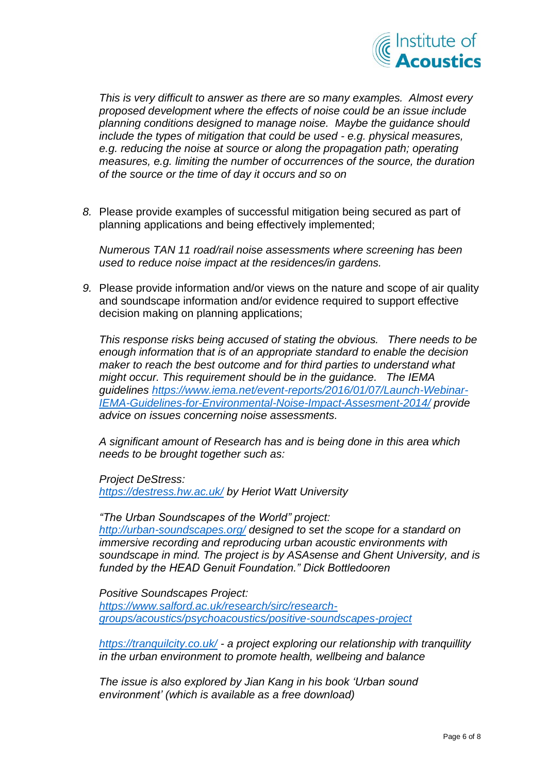

*This is very difficult to answer as there are so many examples. Almost every proposed development where the effects of noise could be an issue include planning conditions designed to manage noise. Maybe the guidance should include the types of mitigation that could be used - e.g. physical measures, e.g. reducing the noise at source or along the propagation path; operating measures, e.g. limiting the number of occurrences of the source, the duration of the source or the time of day it occurs and so on*

*8.* Please provide examples of successful mitigation being secured as part of planning applications and being effectively implemented;

*Numerous TAN 11 road/rail noise assessments where screening has been used to reduce noise impact at the residences/in gardens.*

*9.* Please provide information and/or views on the nature and scope of air quality and soundscape information and/or evidence required to support effective decision making on planning applications;

*This response risks being accused of stating the obvious. There needs to be enough information that is of an appropriate standard to enable the decision maker to reach the best outcome and for third parties to understand what might occur. This requirement should be in the guidance. The IEMA guidelines [https://www.iema.net/event-reports/2016/01/07/Launch-Webinar-](https://www.iema.net/event-reports/2016/01/07/Launch-Webinar-IEMA-Guidelines-for-Environmental-Noise-Impact-Assesment-2014/)[IEMA-Guidelines-for-Environmental-Noise-Impact-Assesment-2014/](https://www.iema.net/event-reports/2016/01/07/Launch-Webinar-IEMA-Guidelines-for-Environmental-Noise-Impact-Assesment-2014/) provide advice on issues concerning noise assessments.*

*A significant amount of Research has and is being done in this area which needs to be brought together such as:*

*Project DeStress:*

*<https://destress.hw.ac.uk/> by Heriot Watt University*

*"The Urban Soundscapes of the World" project: <http://urban-soundscapes.org/> designed to set the scope for a standard on immersive recording and reproducing urban acoustic environments with soundscape in mind. The project is by ASAsense and Ghent University, and is funded by the HEAD Genuit Foundation." Dick Bottledooren*

*Positive Soundscapes Project: [https://www.salford.ac.uk/research/sirc/research](https://www.salford.ac.uk/research/sirc/research-groups/acoustics/psychoacoustics/positive-soundscapes-project)[groups/acoustics/psychoacoustics/positive-soundscapes-project](https://www.salford.ac.uk/research/sirc/research-groups/acoustics/psychoacoustics/positive-soundscapes-project)*

*<https://tranquilcity.co.uk/> - a project exploring our relationship with tranquillity in the urban environment to promote health, wellbeing and balance*

*The issue is also explored by Jian Kang in his book 'Urban sound environment' (which is available as a free download)*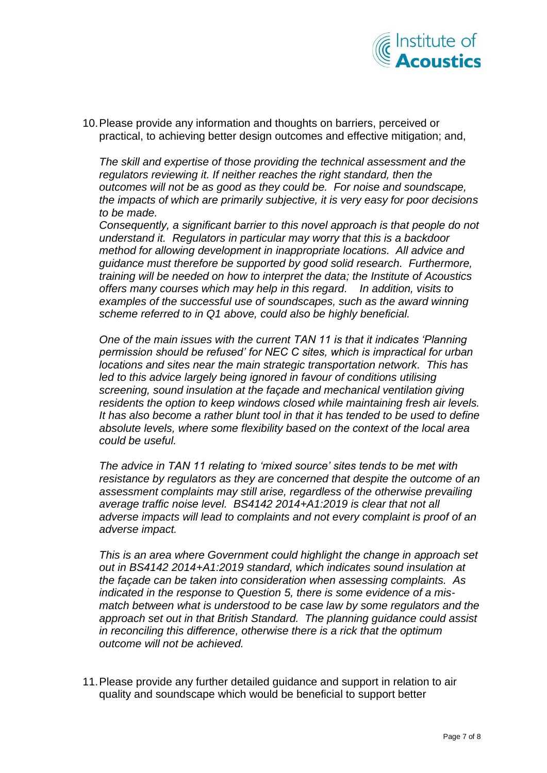

10.Please provide any information and thoughts on barriers, perceived or practical, to achieving better design outcomes and effective mitigation; and,

*The skill and expertise of those providing the technical assessment and the*  regulators reviewing it. If neither reaches the right standard, then the *outcomes will not be as good as they could be. For noise and soundscape, the impacts of which are primarily subjective, it is very easy for poor decisions to be made.*

*Consequently, a significant barrier to this novel approach is that people do not understand it. Regulators in particular may worry that this is a backdoor method for allowing development in inappropriate locations. All advice and guidance must therefore be supported by good solid research. Furthermore, training will be needed on how to interpret the data; the Institute of Acoustics offers many courses which may help in this regard. In addition, visits to examples of the successful use of soundscapes, such as the award winning scheme referred to in Q1 above, could also be highly beneficial.* 

*One of the main issues with the current TAN 11 is that it indicates 'Planning permission should be refused' for NEC C sites, which is impractical for urban locations and sites near the main strategic transportation network. This has*  led to this advice largely being ignored in favour of conditions utilising *screening, sound insulation at the façade and mechanical ventilation giving residents the option to keep windows closed while maintaining fresh air levels. It has also become a rather blunt tool in that it has tended to be used to define absolute levels, where some flexibility based on the context of the local area could be useful.* 

*The advice in TAN 11 relating to 'mixed source' sites tends to be met with resistance by regulators as they are concerned that despite the outcome of an assessment complaints may still arise, regardless of the otherwise prevailing average traffic noise level. BS4142 2014+A1:2019 is clear that not all adverse impacts will lead to complaints and not every complaint is proof of an adverse impact.*

*This is an area where Government could highlight the change in approach set out in BS4142 2014+A1:2019 standard, which indicates sound insulation at the façade can be taken into consideration when assessing complaints. As indicated in the response to Question 5, there is some evidence of a mismatch between what is understood to be case law by some regulators and the approach set out in that British Standard. The planning guidance could assist in reconciling this difference, otherwise there is a rick that the optimum outcome will not be achieved.*

11.Please provide any further detailed guidance and support in relation to air quality and soundscape which would be beneficial to support better